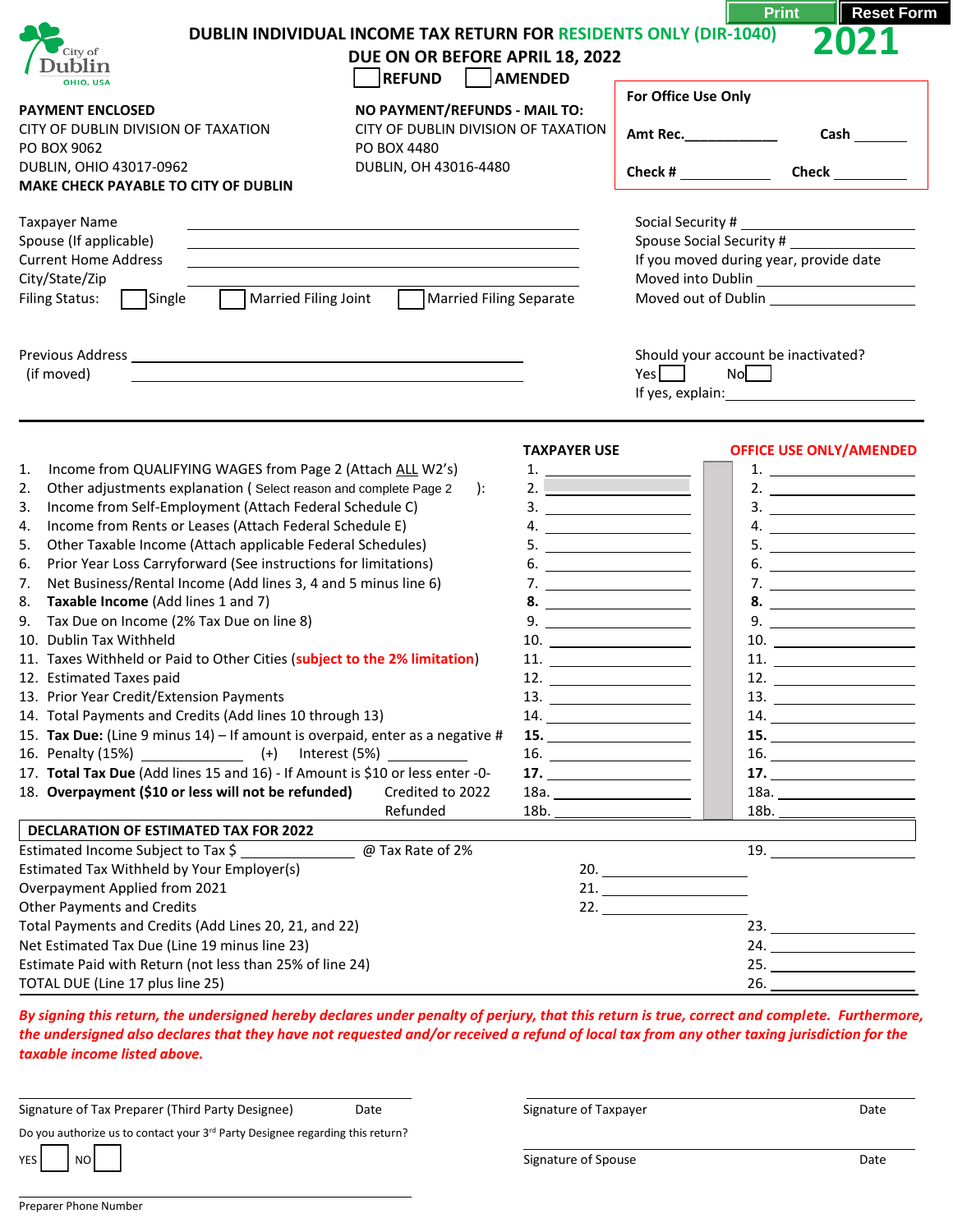| City of<br>ublin<br>OHIO, USA<br><b>PAYMENT ENCLOSED</b>                                                                                                                                                                                                                                                                                                                                                                                                                                                                                                                                                                                                                                                                                                                                                                                                                                                                                                                                                                                                                      | <b>DUBLIN INDIVIDUAL INCOME TAX RETURN FOR RESIDENTS ONLY (DIR-1040)</b><br>DUE ON OR BEFORE APRIL 18, 2022<br>REFUND   AMENDED<br>NO PAYMENT/REFUNDS - MAIL TO: |                                                                                                                                                                                                                                                                                                     | For Office Use Only                                                | <b>Reset Forr</b><br><b>Print</b>                                                                                                                                                                                                                                                                                                                                                                                                                                                                                                                                                                                                                                                                                                                                                                                                                                                                                                                                                          |
|-------------------------------------------------------------------------------------------------------------------------------------------------------------------------------------------------------------------------------------------------------------------------------------------------------------------------------------------------------------------------------------------------------------------------------------------------------------------------------------------------------------------------------------------------------------------------------------------------------------------------------------------------------------------------------------------------------------------------------------------------------------------------------------------------------------------------------------------------------------------------------------------------------------------------------------------------------------------------------------------------------------------------------------------------------------------------------|------------------------------------------------------------------------------------------------------------------------------------------------------------------|-----------------------------------------------------------------------------------------------------------------------------------------------------------------------------------------------------------------------------------------------------------------------------------------------------|--------------------------------------------------------------------|--------------------------------------------------------------------------------------------------------------------------------------------------------------------------------------------------------------------------------------------------------------------------------------------------------------------------------------------------------------------------------------------------------------------------------------------------------------------------------------------------------------------------------------------------------------------------------------------------------------------------------------------------------------------------------------------------------------------------------------------------------------------------------------------------------------------------------------------------------------------------------------------------------------------------------------------------------------------------------------------|
| CITY OF DUBLIN DIVISION OF TAXATION<br>CITY OF DUBLIN DIVISION OF TAXATION<br>PO BOX 9062<br>PO BOX 4480                                                                                                                                                                                                                                                                                                                                                                                                                                                                                                                                                                                                                                                                                                                                                                                                                                                                                                                                                                      |                                                                                                                                                                  |                                                                                                                                                                                                                                                                                                     |                                                                    |                                                                                                                                                                                                                                                                                                                                                                                                                                                                                                                                                                                                                                                                                                                                                                                                                                                                                                                                                                                            |
| DUBLIN, OHIO 43017-0962<br>MAKE CHECK PAYABLE TO CITY OF DUBLIN                                                                                                                                                                                                                                                                                                                                                                                                                                                                                                                                                                                                                                                                                                                                                                                                                                                                                                                                                                                                               | DUBLIN, OH 43016-4480                                                                                                                                            |                                                                                                                                                                                                                                                                                                     |                                                                    | Check $\_\_$                                                                                                                                                                                                                                                                                                                                                                                                                                                                                                                                                                                                                                                                                                                                                                                                                                                                                                                                                                               |
| <b>Taxpayer Name</b><br>Spouse (If applicable)<br><u> 1989 - Johann Stoff, amerikansk politiker (d. 1989)</u><br><b>Current Home Address</b><br>City/State/Zip<br>Single<br>Married Filing Joint<br><b>Filing Status:</b>                                                                                                                                                                                                                                                                                                                                                                                                                                                                                                                                                                                                                                                                                                                                                                                                                                                     | Married Filing Separate                                                                                                                                          |                                                                                                                                                                                                                                                                                                     | Spouse Social Security #<br>If you moved during year, provide date |                                                                                                                                                                                                                                                                                                                                                                                                                                                                                                                                                                                                                                                                                                                                                                                                                                                                                                                                                                                            |
| (if moved)                                                                                                                                                                                                                                                                                                                                                                                                                                                                                                                                                                                                                                                                                                                                                                                                                                                                                                                                                                                                                                                                    |                                                                                                                                                                  |                                                                                                                                                                                                                                                                                                     | $Yes$ $\Box$                                                       | Should your account be inactivated?<br>No<br>If yes, explain: 15 and 15 and 16 and 16 and 16 and 16 and 16 and 16 and 16 and 16 and 16 and 16 and 16 and 16                                                                                                                                                                                                                                                                                                                                                                                                                                                                                                                                                                                                                                                                                                                                                                                                                                |
| Income from QUALIFYING WAGES from Page 2 (Attach ALL W2's)<br>1.<br>Other adjustments explanation (Select reason and complete Page 2<br>2.<br>Income from Self-Employment (Attach Federal Schedule C)<br>3.<br>Income from Rents or Leases (Attach Federal Schedule E)<br>4.<br>Other Taxable Income (Attach applicable Federal Schedules)<br>5.<br>Prior Year Loss Carryforward (See instructions for limitations)<br>6.<br>Net Business/Rental Income (Add lines 3, 4 and 5 minus line 6)<br>7.<br>Taxable Income (Add lines 1 and 7)<br>8.<br>Tax Due on Income (2% Tax Due on line 8)<br>9.<br>10. Dublin Tax Withheld<br>11. Taxes Withheld or Paid to Other Cities (subject to the 2% limitation)<br>12. Estimated Taxes paid<br>13. Prior Year Credit/Extension Payments<br>14. Total Payments and Credits (Add lines 10 through 13)<br>15. Tax Due: (Line 9 minus 14) - If amount is overpaid, enter as a negative #<br>$(+)$<br>17. Total Tax Due (Add lines 15 and 16) - If Amount is \$10 or less enter -0-<br>18. Overpayment (\$10 or less will not be refunded) | ):<br>Credited to 2022<br>Refunded                                                                                                                               | <b>TAXPAYER USE</b><br>$\frac{1}{2}$ .<br>$\begin{array}{c}\n3. \quad \textcolor{blue}{\overbrace{\qquad \qquad \qquad }}$<br>4.<br>$5. \underline{\hspace{2cm}}$<br>$6. \underline{\hspace{1.5cm}}$<br>$9. \underline{\hspace{1.5cm}}$<br>13.<br>14.<br>15. $\qquad \qquad$<br>17. $\qquad \qquad$ |                                                                    | <b>OFFICE USE ONLY/AMENDED</b><br>1. $\qquad \qquad$<br>2. $\qquad \qquad$<br>$\begin{array}{c}\n3. \quad \textcolor{blue}{\overbrace{\qquad \qquad \qquad }}$<br>$5. \underline{\hspace{2cm}}$<br>$6. \underline{\hspace{1.5cm}}$<br>$\begin{tabular}{c} 10. \end{tabular}$<br>11. $\qquad \qquad$<br>12. $\overline{\phantom{a} \phantom{a} \phantom{a}}$<br>13.<br>$14. \underline{\hspace{2cm} \underline{\hspace{2cm}}\hspace{2cm}}$<br>$\begin{array}{c}\n 16. \quad \textcolor{red}{\overbrace{\text{2.22}}\n \textcolor{red}{\overbrace{\text{2.33}}\n \textcolor{red}{\overbrace{\text{2.43}}\n \textcolor{red}{\overbrace{\text{2.53}}\n \textcolor{red}{\overbrace{\text{2.63}}\n \textcolor{red}{\overbrace{\text{2.63}}\n \textcolor{red}{\overbrace{\text{2.63}}\n \textcolor{red}{\overbrace{\text{2.63}}\n \textcolor{red}{\overbrace{\text{2.63}}\n \textcolor{red}{\overbrace{\text{2.63}}\n \textcolor{red}{\overbrace{\text{2.63$<br>$\overline{\mathbf{17.}}$<br>18b. |
| <b>DECLARATION OF ESTIMATED TAX FOR 2022</b><br>Estimated Income Subject to Tax \$                                                                                                                                                                                                                                                                                                                                                                                                                                                                                                                                                                                                                                                                                                                                                                                                                                                                                                                                                                                            | @ Tax Rate of 2%                                                                                                                                                 |                                                                                                                                                                                                                                                                                                     |                                                                    | <u> 1980 - Johann Barn, mars ann an t-Aonaich an t-Aonaich an t-Aonaich an t-Aonaich an t-Aonaich ann an t-Aonaich</u><br>$19. \underline{\hspace{2cm}}$                                                                                                                                                                                                                                                                                                                                                                                                                                                                                                                                                                                                                                                                                                                                                                                                                                   |
| Estimated Tax Withheld by Your Employer(s)<br>Overpayment Applied from 2021<br><b>Other Payments and Credits</b><br>Total Payments and Credits (Add Lines 20, 21, and 22)<br>Net Estimated Tax Due (Line 19 minus line 23)<br>Estimate Paid with Return (not less than 25% of line 24)<br>TOTAL DUE (Line 17 plus line 25)                                                                                                                                                                                                                                                                                                                                                                                                                                                                                                                                                                                                                                                                                                                                                    |                                                                                                                                                                  |                                                                                                                                                                                                                                                                                                     | 21.<br>22. $\qquad \qquad$                                         | 24.                                                                                                                                                                                                                                                                                                                                                                                                                                                                                                                                                                                                                                                                                                                                                                                                                                                                                                                                                                                        |

*By signing this return, the undersigned hereby declares under penalty of perjury, that this return is true, correct and complete. Furthermore, the undersigned also declares that they have not requested and/or received a refund of local tax from any other taxing jurisdiction for the taxable income listed above.* 

Signature of Tax Preparer (Third Party Designee) Date Signature of Taxpayer Same Signature of Taxpayer Date

Do you authorize us to contact your 3<sup>rd</sup> Party Designee regarding this return?

YES NO NO RESISTENCE AND RESISTENCE OF SUBSEXUATION OF SIGNATURE OF Spouse Date Of Spouse Date